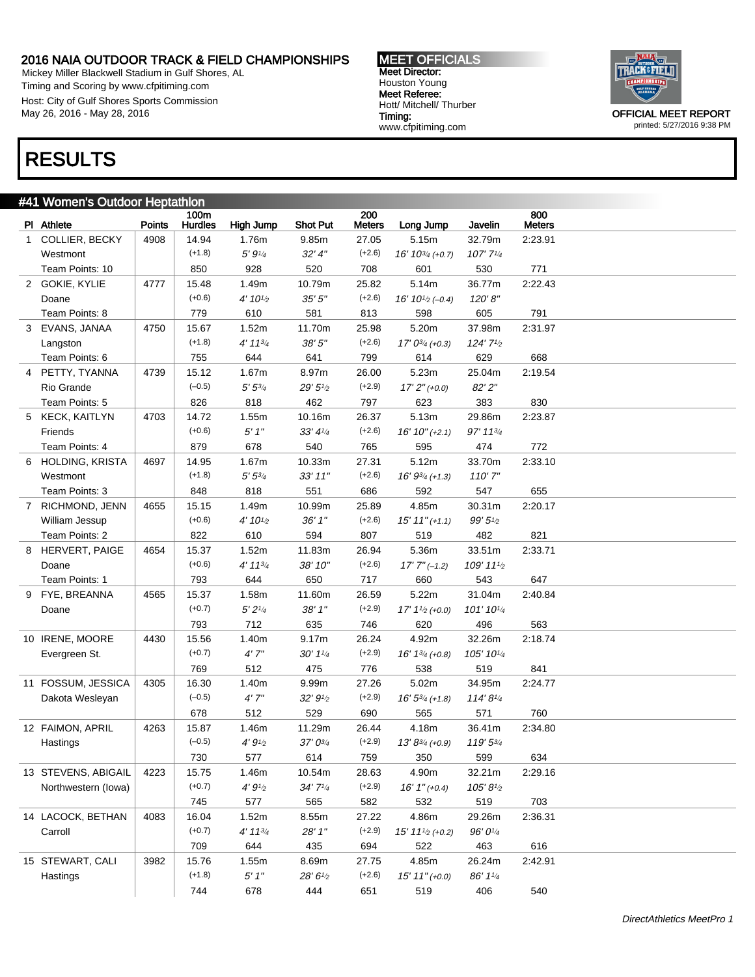Mickey Miller Blackwell Stadium in Gulf Shores, AL Timing and Scoring by www.cfpitiming.com Host: City of Gulf Shores Sports Commission May 26, 2016 - May 28, 2016

MEET OFFICIALS Meet Director: Houston Young Meet Referee: Hott/ Mitchell/ Thurber Timing: www.cfpitiming.com



## RESULTS

|   | #41 Women's Outdoor Heptathlon |               |                        |               |                                     |                      |                                           |                     |                      |  |  |
|---|--------------------------------|---------------|------------------------|---------------|-------------------------------------|----------------------|-------------------------------------------|---------------------|----------------------|--|--|
|   | PI Athlete                     | <b>Points</b> | 100m<br><b>Hurdles</b> | High Jump     | <b>Shot Put</b>                     | 200<br><b>Meters</b> | Long Jump                                 | Javelin             | 800<br><b>Meters</b> |  |  |
|   | 1 COLLIER, BECKY               | 4908          | 14.94                  | 1.76m         | 9.85m                               | 27.05                | 5.15m                                     | 32.79m              | 2:23.91              |  |  |
|   | Westmont                       |               | $(+1.8)$               | 5' 91/4       | 32' 4''                             | $(+2.6)$             | $16' 10^{3/4}$ (+0.7)                     | 107' 71/4           |                      |  |  |
|   | Team Points: 10                |               | 850                    | 928           | 520                                 | 708                  | 601                                       | 530                 | 771                  |  |  |
|   | 2 GOKIE, KYLIE                 | 4777          | 15.48                  | 1.49m         | 10.79m                              | 25.82                | 5.14m                                     | 36.77m              | 2:22.43              |  |  |
|   | Doane                          |               | $(+0.6)$               | 4' 101/2      | 35'5''                              | $(+2.6)$             | 16' 10 <sup>1</sup> / <sub>2</sub> (-0.4) | 120'8''             |                      |  |  |
|   | Team Points: 8                 |               | 779                    | 610           | 581                                 | 813                  | 598                                       | 605                 | 791                  |  |  |
| 3 | EVANS, JANAA                   | 4750          | 15.67                  | 1.52m         | 11.70m                              | 25.98                | 5.20m                                     | 37.98m              | 2:31.97              |  |  |
|   | Langston                       |               | $(+1.8)$               | $4' 11^{3/4}$ | 38'5''                              | $(+2.6)$             | $17' 0^{3/4}$ (+0.3)                      | 124' 71/2           |                      |  |  |
|   | Team Points: 6                 |               | 755                    | 644           | 641                                 | 799                  | 614                                       | 629                 | 668                  |  |  |
| 4 | PETTY, TYANNA                  | 4739          | 15.12                  | 1.67m         | 8.97m                               | 26.00                | 5.23m                                     | 25.04m              | 2:19.54              |  |  |
|   | Rio Grande                     |               | $(-0.5)$               | $5' 5^{3/4}$  | 29'5'' <sub>2</sub>                 | $(+2.9)$             | $17'2''(+0.0)$                            | 82' 2"              |                      |  |  |
|   | Team Points: 5                 |               | 826                    | 818           | 462                                 | 797                  | 623                                       | 383                 | 830                  |  |  |
|   | 5 KECK, KAITLYN                | 4703          | 14.72                  | 1.55m         | 10.16m                              | 26.37                | 5.13m                                     | 29.86m              | 2:23.87              |  |  |
|   | Friends                        |               | $(+0.6)$               | $5'$ $1''$    | 33' 41/4                            | $(+2.6)$             | $16' 10'' (+2.1)$                         | 97' 113/4           |                      |  |  |
|   | Team Points: 4                 |               | 879                    | 678           | 540                                 | 765                  | 595                                       | 474                 | 772                  |  |  |
| 6 | <b>HOLDING, KRISTA</b>         | 4697          | 14.95                  | 1.67m         | 10.33m                              | 27.31                | 5.12m                                     | 33.70m              | 2:33.10              |  |  |
|   | Westmont                       |               | $(+1.8)$               | $5' 5^{3/4}$  | 33' 11"                             | $(+2.6)$             | $16' 9^{3/4}$ (+1.3)                      | 110'7''             |                      |  |  |
|   | Team Points: 3                 |               | 848                    | 818           | 551                                 | 686                  | 592                                       | 547                 | 655                  |  |  |
|   | 7 RICHMOND, JENN               | 4655          | 15.15                  | 1.49m         | 10.99m                              | 25.89                | 4.85m                                     | 30.31m              | 2:20.17              |  |  |
|   | William Jessup                 |               | $(+0.6)$               | 4' 101/2      | 36'1''                              | $(+2.6)$             | $15' 11'' (+1.1)$                         | 99'5''              |                      |  |  |
|   | Team Points: 2                 |               | 822                    | 610           | 594                                 | 807                  | 519                                       | 482                 | 821                  |  |  |
| 8 | <b>HERVERT, PAIGE</b>          | 4654          | 15.37                  | 1.52m         | 11.83m                              | 26.94                | 5.36m                                     | 33.51m              | 2:33.71              |  |  |
|   | Doane                          |               | $(+0.6)$               | $4' 11^{3/4}$ | 38' 10"                             | $(+2.6)$             | $17'7''(-1.2)$                            | 109' 111/2          |                      |  |  |
|   | Team Points: 1                 |               | 793                    | 644           | 650                                 | 717                  | 660                                       | 543                 | 647                  |  |  |
| 9 | FYE, BREANNA                   | 4565          | 15.37                  | 1.58m         | 11.60m                              | 26.59                | 5.22m                                     | 31.04m              | 2:40.84              |  |  |
|   | Doane                          |               | $(+0.7)$               | 5'2''/4       | 38'1''                              | $(+2.9)$             | $17' 11/2 (+0.0)$                         | 101' 101/4          |                      |  |  |
|   |                                |               | 793                    | 712           | 635                                 | 746                  | 620                                       | 496                 | 563                  |  |  |
|   | 10 IRENE, MOORE                | 4430          | 15.56                  | 1.40m         | 9.17m                               | 26.24                | 4.92m                                     | 32.26m              | 2:18.74              |  |  |
|   | Evergreen St.                  |               | $(+0.7)$               | 4'7''         | $30'$ 1 $\frac{1}{4}$               | $(+2.9)$             | $16' 1^{3/4}$ (+0.8)                      | 105' 101/4          |                      |  |  |
|   |                                |               | 769                    | 512           | 475                                 | 776                  | 538                                       | 519                 | 841                  |  |  |
|   | 11 FOSSUM, JESSICA             | 4305          | 16.30                  | 1.40m         | 9.99m                               | 27.26                | 5.02m                                     | 34.95m              | 2:24.77              |  |  |
|   | Dakota Wesleyan                |               | $(-0.5)$               | 4'7''         | 32'9'                               | $(+2.9)$             | $16'5^{3/4}(+1.8)$                        | 114'81/4            |                      |  |  |
|   |                                |               | 678                    | 512           | 529                                 | 690                  | 565                                       | 571                 | 760                  |  |  |
|   | 12 FAIMON, APRIL               | 4263          | 15.87                  | 1.46m         | 11.29m                              | 26.44                | 4.18m                                     | 36.41m              | 2:34.80              |  |  |
|   | Hastings                       |               | $(-0.5)$               | $4'9'_{2}$    | $37'0^{3/4}$                        | $(+2.9)$             | $13' 8^{3/4}$ (+0.9)                      | 119' 53/4           |                      |  |  |
|   |                                |               | 730                    | 577           | 614                                 | 759                  | 350                                       | 599                 | 634                  |  |  |
|   | 13 STEVENS, ABIGAIL            | 4223          | 15.75                  | 1.46m         | 10.54m                              | 28.63                | 4.90m                                     | 32.21m              | 2:29.16              |  |  |
|   | Northwestern (lowa)            |               | $(+0.7)$               | $4'9'_{2}$    | $34'7'$ <sup><math>1/4</math></sup> | $(+2.9)$             | $16'1''(+0.4)$                            | $105' 8\frac{1}{2}$ |                      |  |  |
|   |                                |               | 745                    | 577           | 565                                 | 582                  | 532                                       | 519                 | 703                  |  |  |
|   | 14 LACOCK, BETHAN              | 4083          | 16.04                  | 1.52m         | 8.55m                               | 27.22                | 4.86m                                     | 29.26m              | 2:36.31              |  |  |
|   | Carroll                        |               | $(+0.7)$               | $4' 11^{3/4}$ | 28' 1"                              | $(+2.9)$             | $15' 111/2 (+0.2)$                        | 96' 01/4            |                      |  |  |
|   |                                |               | 709                    | 644           | 435                                 | 694                  | 522                                       | 463                 | 616                  |  |  |
|   | 15 STEWART, CALI               | 3982          | 15.76                  | 1.55m         | 8.69m                               | 27.75                | 4.85m                                     | 26.24m              | 2:42.91              |  |  |
|   | Hastings                       |               | $(+1.8)$               | 5'1''         | 28' 61/2                            | $(+2.6)$             | $15' 11'' (+0.0)$                         | 86' 11/4            |                      |  |  |
|   |                                |               | 744                    | 678           | 444                                 | 651                  | 519                                       | 406                 | 540                  |  |  |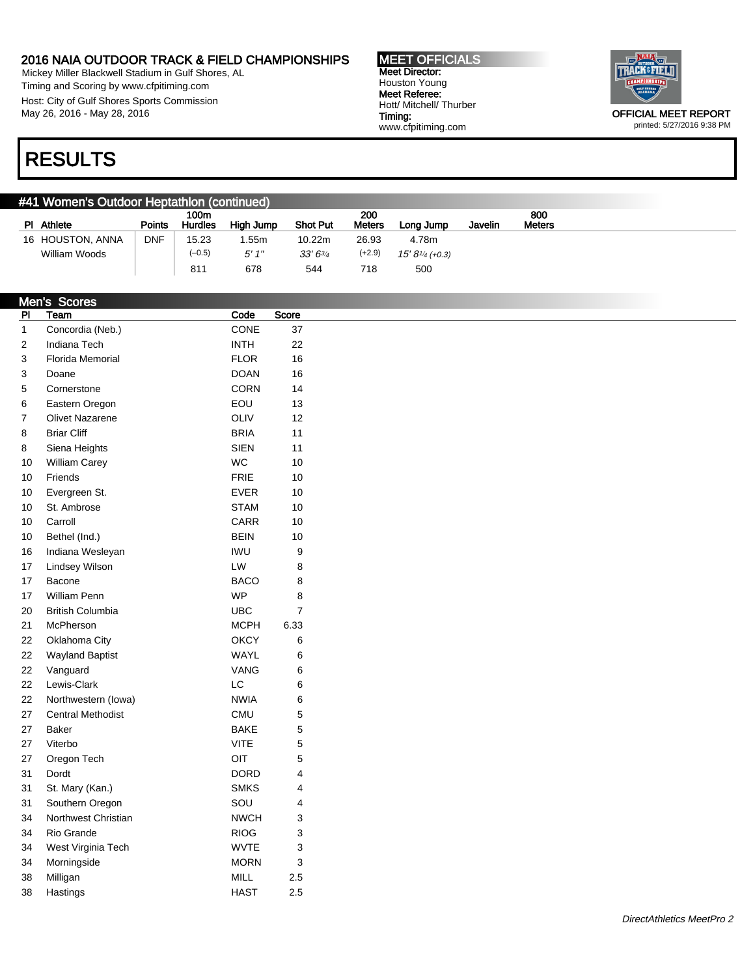Mickey Miller Blackwell Stadium in Gulf Shores, AL Timing and Scoring by www.cfpitiming.com Host: City of Gulf Shores Sports Commission May 26, 2016 - May 28, 2016

MEET OFFICIALS Meet Director: Houston Young Meet Referee: Hott/ Mitchell/ Thurber Timing: www.cfpitiming.com



### printed: 5/27/2016 9:38 PM

### RESULTS

| #41 Women's Outdoor Heptathlon (continued) |                  |            |                        |           |                 |                      |                                           |         |                      |
|--------------------------------------------|------------------|------------|------------------------|-----------|-----------------|----------------------|-------------------------------------------|---------|----------------------|
|                                            | PI Athlete       | Points     | 100m<br><b>Hurdles</b> | High Jump | <b>Shot Put</b> | 200<br><b>Meters</b> | Long Jump                                 | Javelin | 800<br><b>Meters</b> |
|                                            | 16 HOUSTON, ANNA | <b>DNF</b> | 15.23                  | .55m      | 10.22m          | 26.93                | 4.78m                                     |         |                      |
|                                            | William Woods    |            | $(-0.5)$               | 5'1''     | $33'6^{3/4}$    | (+2.9)               | $15' 8'$ <sup><math>4</math></sup> (+0.3) |         |                      |
|                                            |                  |            | 811                    | 678       | 544             | 718                  | 500                                       |         |                      |

|                | <b>Men's Scores</b>      |             |                  |
|----------------|--------------------------|-------------|------------------|
| P <sub>1</sub> | Team                     | Code        | Score            |
| $\mathbf{1}$   | Concordia (Neb.)         | CONE        | 37               |
| $\overline{c}$ | Indiana Tech             | <b>INTH</b> | 22               |
| 3              | Florida Memorial         | <b>FLOR</b> | 16               |
| 3              | Doane                    | <b>DOAN</b> | 16               |
| 5              | Cornerstone              | <b>CORN</b> | 14               |
| 6              | Eastern Oregon           | EOU         | 13               |
| 7              | <b>Olivet Nazarene</b>   | <b>OLIV</b> | 12               |
| 8              | <b>Briar Cliff</b>       | <b>BRIA</b> | 11               |
| 8              | Siena Heights            | <b>SIEN</b> | 11               |
| 10             | William Carey            | <b>WC</b>   | 10               |
| 10             | Friends                  | <b>FRIE</b> | 10               |
| 10             | Evergreen St.            | <b>EVER</b> | 10               |
| 10             | St. Ambrose              | <b>STAM</b> | 10               |
| 10             | Carroll                  | CARR        | 10               |
| 10             | Bethel (Ind.)            | <b>BEIN</b> | 10               |
| 16             | Indiana Wesleyan         | <b>IWU</b>  | $\boldsymbol{9}$ |
| 17             | <b>Lindsey Wilson</b>    | LW          | $\, 8$           |
| 17             | Bacone                   | <b>BACO</b> | $\, 8$           |
| 17             | <b>William Penn</b>      | <b>WP</b>   | 8                |
| 20             | <b>British Columbia</b>  | <b>UBC</b>  | $\overline{7}$   |
| 21             | McPherson                | <b>MCPH</b> | 6.33             |
| 22             | Oklahoma City            | <b>OKCY</b> | 6                |
| 22             | <b>Wayland Baptist</b>   | WAYL        | 6                |
| 22             | Vanguard                 | VANG        | 6                |
| 22             | Lewis-Clark              | LC          | 6                |
| 22             | Northwestern (lowa)      | <b>NWIA</b> | 6                |
| 27             | <b>Central Methodist</b> | <b>CMU</b>  | 5                |
| 27             | Baker                    | <b>BAKE</b> | $\mathbf 5$      |
| 27             | Viterbo                  | <b>VITE</b> | $\overline{5}$   |
| 27             | Oregon Tech              | OIT         | $\mathbf 5$      |
| 31             | Dordt                    | <b>DORD</b> | 4                |
| 31             | St. Mary (Kan.)          | <b>SMKS</b> | 4                |
| 31             | Southern Oregon          | SOU         | $\overline{4}$   |
| 34             | Northwest Christian      | <b>NWCH</b> | $\mathsf 3$      |
| 34             | Rio Grande               | <b>RIOG</b> | $\mathsf 3$      |
| 34             | West Virginia Tech       | <b>WVTE</b> | $\mathsf 3$      |
| 34             | Morningside              | <b>MORN</b> | 3                |
| 38             | Milligan                 | <b>MILL</b> | 2.5              |
| 38             | Hastings                 | <b>HAST</b> | 2.5              |
|                |                          |             |                  |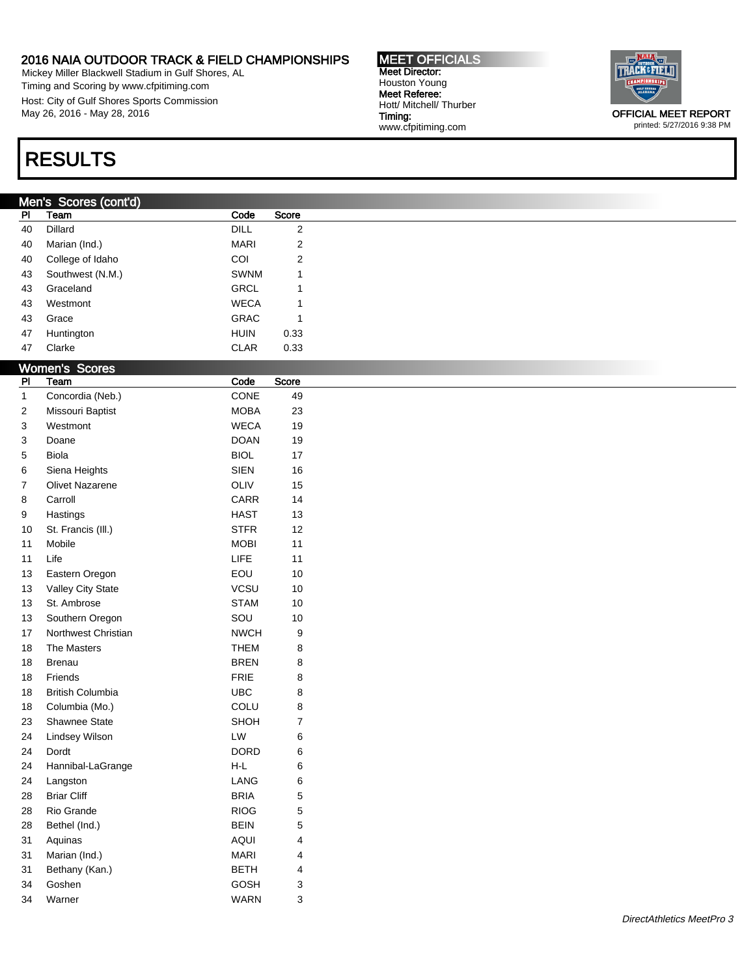Mickey Miller Blackwell Stadium in Gulf Shores, AL Timing and Scoring by www.cfpitiming.com Host: City of Gulf Shores Sports Commission May 26, 2016 - May 28, 2016

# RESULTS

### Men's Scores (cont'd)

| <u>PI</u>               | Team                    | Code                           | Score                   |
|-------------------------|-------------------------|--------------------------------|-------------------------|
| 40                      | Dillard                 | DILL                           | $\boldsymbol{2}$        |
| 40                      | Marian (Ind.)           | <b>MARI</b>                    | $\boldsymbol{2}$        |
| 40                      | College of Idaho        | COI                            | $\boldsymbol{2}$        |
| 43                      | Southwest (N.M.)        | SWNM                           | 1                       |
| 43                      | Graceland               | GRCL                           | 1                       |
| 43                      | Westmont                | <b>WECA</b>                    | 1                       |
| 43                      | Grace                   | GRAC                           | 1                       |
| 47                      | Huntington              | <b>HUIN</b>                    | 0.33                    |
| 47                      | Clarke                  | CLAR                           | 0.33                    |
|                         | <b>Women's Scores</b>   |                                |                         |
| P <sub>1</sub>          | Team                    | Code                           | Score                   |
| $\mathbf{1}$            | Concordia (Neb.)        | CONE                           | 49                      |
| $\overline{\mathbf{c}}$ | Missouri Baptist        | <b>MOBA</b>                    | 23                      |
| 3                       | Westmont                | <b>WECA</b>                    | 19                      |
| 3                       | Doane                   | <b>DOAN</b>                    | 19                      |
| 5                       | Biola                   | <b>BIOL</b>                    | 17                      |
| 6                       | Siena Heights           | <b>SIEN</b>                    | 16                      |
| 7                       | <b>Olivet Nazarene</b>  | OLIV                           | 15                      |
| 8                       | Carroll                 | CARR                           | 14                      |
| 9                       | Hastings                | <b>HAST</b>                    | 13                      |
| 10                      | St. Francis (III.)      | <b>STFR</b>                    | 12                      |
| 11                      | Mobile                  | <b>MOBI</b>                    | 11                      |
| 11                      | Life                    | LIFE                           | 11                      |
| 13                      | Eastern Oregon          | EOU                            | $10$                    |
| 13                      | Valley City State       | VCSU                           | $10$                    |
| 13                      | St. Ambrose             | <b>STAM</b>                    | $10$                    |
| 13                      | Southern Oregon         | SOU                            | $10$                    |
| 17                      | Northwest Christian     | <b>NWCH</b>                    | $\boldsymbol{9}$        |
| 18                      | The Masters             | <b>THEM</b>                    | 8                       |
| 18                      | <b>Brenau</b>           | <b>BREN</b>                    | 8                       |
| 18                      | Friends                 | <b>FRIE</b>                    | 8                       |
| 18                      | <b>British Columbia</b> | <b>UBC</b>                     | 8                       |
| 18                      | Columbia (Mo.)          | COLU                           | 8                       |
| 23                      | Shawnee State           | SHOH                           | $\boldsymbol{7}$        |
| 24                      | Lindsey Wilson          | LW                             | 6                       |
| 24                      | Dordt                   | <b>DORD</b>                    | 6                       |
| 24                      | Hannibal-LaGrange       | $\mathsf{H}\text{-}\mathsf{L}$ | 6                       |
| 24                      | Langston                | LANG                           | 6                       |
| 28                      | <b>Briar Cliff</b>      | <b>BRIA</b>                    | 5                       |
| 28                      | Rio Grande              | <b>RIOG</b>                    | 5                       |
| 28                      | Bethel (Ind.)           | <b>BEIN</b>                    | 5                       |
| 31                      | Aquinas                 | AQUI                           | $\overline{\mathbf{4}}$ |
| 31                      | Marian (Ind.)           | <b>MARI</b>                    | 4                       |
| 31                      | Bethany (Kan.)          | <b>BETH</b>                    | 4                       |
| 34                      | Goshen                  | GOSH                           | 3                       |
| 34                      | Warner                  | <b>WARN</b>                    | 3                       |
|                         |                         |                                |                         |

MEET OFFICIALS Meet Director: Houston Young Meet Referee: Hott/ Mitchell/ Thurber

www.cfpitiming.com

Timing:



printed: 5/27/2016 9:38 PM